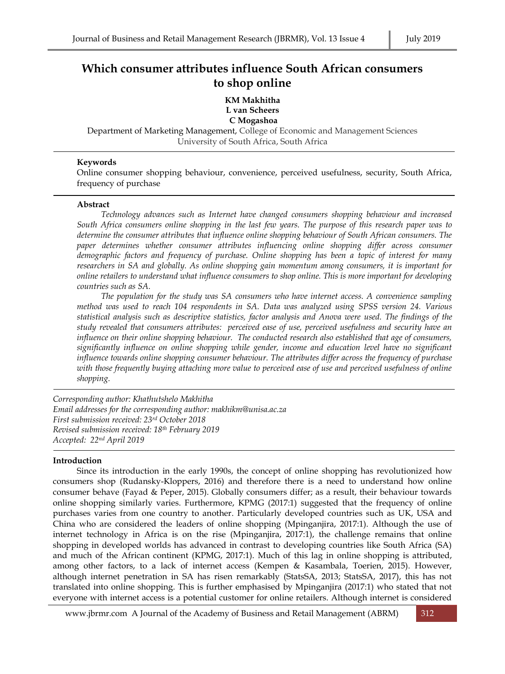# **Which consumer attributes influence South African consumers to shop online**

**KM Makhitha L van Scheers C Mogashoa**

Department of Marketing Management, College of Economic and Management Sciences University of South Africa, South Africa

## **Keywords**

Online consumer shopping behaviour, convenience, perceived usefulness, security, South Africa, frequency of purchase

## **Abstract**

*Technology advances such as Internet have changed consumers shopping behaviour and increased South Africa consumers online shopping in the last few years. The purpose of this research paper was to determine the consumer attributes that influence online shopping behaviour of South African consumers. The paper determines whether consumer attributes influencing online shopping differ across consumer demographic factors and frequency of purchase. Online shopping has been a topic of interest for many researchers in SA and globally. As online shopping gain momentum among consumers, it is important for online retailers to understand what influence consumers to shop online. This is more important for developing countries such as SA.*

*The population for the study was SA consumers who have internet access. A convenience sampling method was used to reach 104 respondents in SA. Data was analyzed using SPSS version 24. Various statistical analysis such as descriptive statistics, factor analysis and Anova were used. The findings of the study revealed that consumers attributes: perceived ease of use, perceived usefulness and security have an influence on their online shopping behaviour. The conducted research also established that age of consumers, significantly influence on online shopping while gender, income and education level have no significant influence towards online shopping consumer behaviour. The attributes differ across the frequency of purchase with those frequently buying attaching more value to perceived ease of use and perceived usefulness of online shopping.* 

*Corresponding author: Khathutshelo Makhitha Email addresses for the corresponding author: makhikm@unisa.ac.za First submission received: 23rd October 2018 Revised submission received: 18th February 2019 Accepted: 22nd April 2019*

# **Introduction**

Since its introduction in the early 1990s, the concept of online shopping has revolutionized how consumers shop (Rudansky-Kloppers, 2016) and therefore there is a need to understand how online consumer behave (Fayad & Peper, 2015). Globally consumers differ; as a result, their behaviour towards online shopping similarly varies. Furthermore, KPMG (2017:1) suggested that the frequency of online purchases varies from one country to another. Particularly developed countries such as UK, USA and China who are considered the leaders of online shopping (Mpinganjira, 2017:1). Although the use of internet technology in Africa is on the rise (Mpinganjira, 2017:1), the challenge remains that online shopping in developed worlds has advanced in contrast to developing countries like South Africa (SA) and much of the African continent (KPMG, 2017:1). Much of this lag in online shopping is attributed, among other factors, to a lack of internet access (Kempen & Kasambala, Toerien, 2015). However, although internet penetration in SA has risen remarkably (StatsSA, 2013; StatsSA, 2017), this has not translated into online shopping. This is further emphasised by Mpinganjira (2017:1) who stated that not everyone with internet access is a potential customer for online retailers. Although internet is considered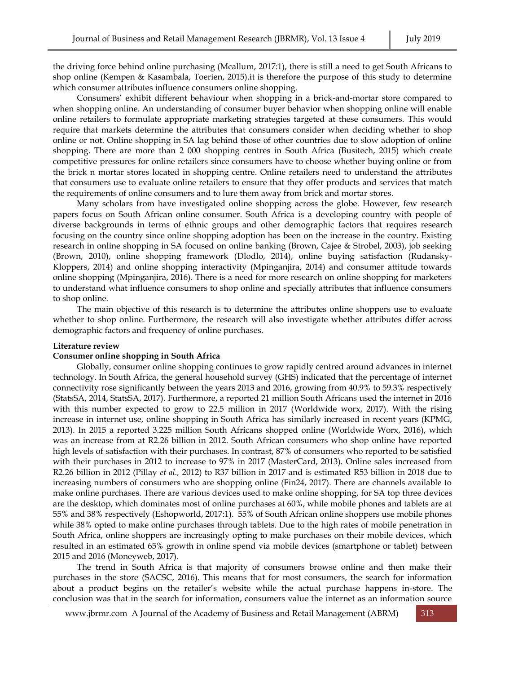the driving force behind online purchasing (Mcallum, 2017:1), there is still a need to get South Africans to shop online (Kempen & Kasambala, Toerien, 2015).it is therefore the purpose of this study to determine which consumer attributes influence consumers online shopping.

Consumers' exhibit different behaviour when shopping in a brick-and-mortar store compared to when shopping online. An understanding of consumer buyer behavior when shopping online will enable online retailers to formulate appropriate marketing strategies targeted at these consumers. This would require that markets determine the attributes that consumers consider when deciding whether to shop online or not. Online shopping in SA lag behind those of other countries due to slow adoption of online shopping. There are more than 2 000 shopping centres in South Africa (Busitech, 2015) which create competitive pressures for online retailers since consumers have to choose whether buying online or from the brick n mortar stores located in shopping centre. Online retailers need to understand the attributes that consumers use to evaluate online retailers to ensure that they offer products and services that match the requirements of online consumers and to lure them away from brick and mortar stores.

Many scholars from have investigated online shopping across the globe. However, few research papers focus on South African online consumer. South Africa is a developing country with people of diverse backgrounds in terms of ethnic groups and other demographic factors that requires research focusing on the country since online shopping adoption has been on the increase in the country. Existing research in online shopping in SA focused on online banking (Brown, Cajee & Strobel, 2003), job seeking (Brown, 2010), online shopping framework (Dlodlo, 2014), online buying satisfaction (Rudansky-Kloppers, 2014) and online shopping interactivity (Mpinganjira, 2014) and consumer attitude towards online shopping (Mpinganjira, 2016). There is a need for more research on online shopping for marketers to understand what influence consumers to shop online and specially attributes that influence consumers to shop online.

The main objective of this research is to determine the attributes online shoppers use to evaluate whether to shop online. Furthermore, the research will also investigate whether attributes differ across demographic factors and frequency of online purchases.

#### **Literature review**

#### **Consumer online shopping in South Africa**

Globally, consumer online shopping continues to grow rapidly centred around advances in internet technology. In South Africa, the general household survey (GHS) indicated that the percentage of internet connectivity rose significantly between the years 2013 and 2016, growing from 40.9% to 59.3% respectively (StatsSA, 2014, StatsSA, 2017). Furthermore, a reported 21 million South Africans used the internet in 2016 with this number expected to grow to 22.5 million in 2017 (Worldwide worx, 2017). With the rising increase in internet use, online shopping in South Africa has similarly increased in recent years (KPMG, 2013). In 2015 a reported 3.225 million South Africans shopped online (Worldwide Worx, 2016), which was an increase from at R2.26 billion in 2012. South African consumers who shop online have reported high levels of satisfaction with their purchases. In contrast, 87% of consumers who reported to be satisfied with their purchases in 2012 to increase to 97% in 2017 (MasterCard, 2013). Online sales increased from R2.26 billion in 2012 (Pillay *et al.,* 2012) to R37 billion in 2017 and is estimated R53 billion in 2018 due to increasing numbers of consumers who are shopping online (Fin24, 2017). There are channels available to make online purchases. There are various devices used to make online shopping, for SA top three devices are the desktop, which dominates most of online purchases at 60%, while mobile phones and tablets are at 55% and 38% respectively (Eshopworld, 2017:1). 55% of South African online shoppers use mobile phones while 38% opted to make online purchases through tablets. Due to the high rates of mobile penetration in South Africa, online shoppers are increasingly opting to make purchases on their mobile devices, which resulted in an estimated 65% growth in online spend via mobile devices (smartphone or tablet) between 2015 and 2016 (Moneyweb, 2017).

The trend in South Africa is that majority of consumers browse online and then make their purchases in the store (SACSC, 2016). This means that for most consumers, the search for information about a product begins on the retailer's website while the actual purchase happens in-store. The conclusion was that in the search for information, consumers value the internet as an information source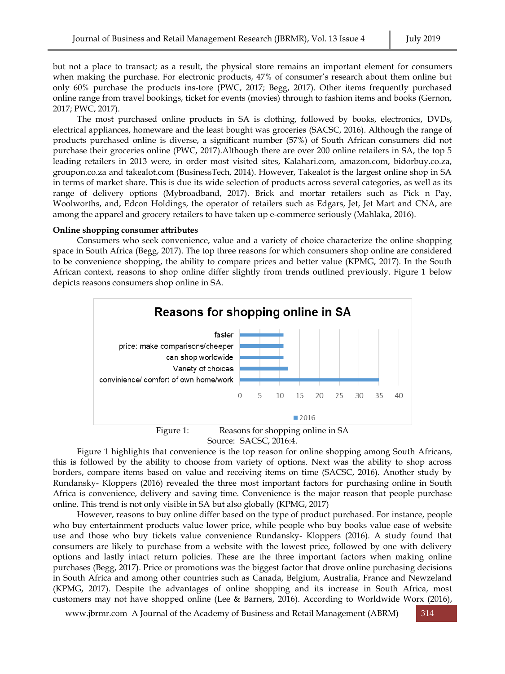but not a place to transact; as a result, the physical store remains an important element for consumers when making the purchase. For electronic products, 47% of consumer's research about them online but only 60% purchase the products ins-tore (PWC, 2017; Begg, 2017). Other items frequently purchased online range from travel bookings, ticket for events (movies) through to fashion items and books (Gernon, 2017; PWC, 2017).

The most purchased online products in SA is clothing, followed by books, electronics, DVDs, electrical appliances, homeware and the least bought was groceries (SACSC, 2016). Although the range of products purchased online is diverse, a significant number (57%) of South African consumers did not purchase their groceries online (PWC, 2017).Although there are over 200 online retailers in SA, the top 5 leading retailers in 2013 were, in order most visited sites, Kalahari.com, amazon.com, bidorbuy.co.za, groupon.co.za and takealot.com (BusinessTech, 2014). However, Takealot is the largest online shop in SA in terms of market share. This is due its wide selection of products across several categories, as well as its range of delivery options (Mybroadband, 2017). Brick and mortar retailers such as Pick n Pay, Woolworths, and, Edcon Holdings, the operator of retailers such as Edgars, Jet, Jet Mart and CNA, are among the apparel and grocery retailers to have taken up e-commerce seriously (Mahlaka, 2016).

# **Online shopping consumer attributes**

Consumers who seek convenience, value and a variety of choice characterize the online shopping space in South Africa (Begg, 2017). The top three reasons for which consumers shop online are considered to be convenience shopping, the ability to compare prices and better value (KPMG, 2017). In the South African context, reasons to shop online differ slightly from trends outlined previously. Figure 1 below depicts reasons consumers shop online in SA.



Source: SACSC, 2016:4.

Figure 1 highlights that convenience is the top reason for online shopping among South Africans, this is followed by the ability to choose from variety of options. Next was the ability to shop across borders, compare items based on value and receiving items on time (SACSC, 2016). Another study by Rundansky- Kloppers (2016) revealed the three most important factors for purchasing online in South Africa is convenience, delivery and saving time. Convenience is the major reason that people purchase online. This trend is not only visible in SA but also globally (KPMG, 2017)

However, reasons to buy online differ based on the type of product purchased. For instance, people who buy entertainment products value lower price, while people who buy books value ease of website use and those who buy tickets value convenience Rundansky- Kloppers (2016). A study found that consumers are likely to purchase from a website with the lowest price, followed by one with delivery options and lastly intact return policies. These are the three important factors when making online purchases (Begg, 2017). Price or promotions was the biggest factor that drove online purchasing decisions in South Africa and among other countries such as Canada, Belgium, Australia, France and Newzeland (KPMG, 2017). Despite the advantages of online shopping and its increase in South Africa, most customers may not have shopped online (Lee & Barners, 2016). According to Worldwide Worx (2016),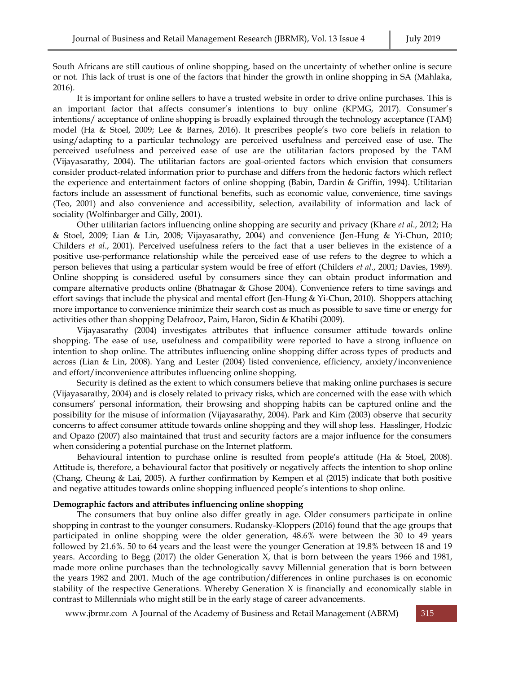South Africans are still cautious of online shopping, based on the uncertainty of whether online is secure or not. This lack of trust is one of the factors that hinder the growth in online shopping in SA (Mahlaka, 2016).

It is important for online sellers to have a trusted website in order to drive online purchases. This is an important factor that affects consumer's intentions to buy online (KPMG, 2017). Consumer's intentions/ acceptance of online shopping is broadly explained through the technology acceptance (TAM) model (Ha & Stoel, 2009; Lee & Barnes, 2016). It prescribes people's two core beliefs in relation to using/adapting to a particular technology are perceived usefulness and perceived ease of use. The perceived usefulness and perceived ease of use are the utilitarian factors proposed by the TAM (Vijayasarathy, 2004). The utilitarian factors are goal-oriented factors which envision that consumers consider product-related information prior to purchase and differs from the hedonic factors which reflect the experience and entertainment factors of online shopping (Babin, Dardin & Griffin, 1994). Utilitarian factors include an assessment of functional benefits, such as economic value, convenience, time savings (Teo, 2001) and also convenience and accessibility, selection, availability of information and lack of sociality (Wolfinbarger and Gilly, 2001).

Other utilitarian factors influencing online shopping are security and privacy (Khare *et al*., 2012; Ha & Stoel, 2009; Lian & Lin, 2008; Vijayasarathy, 2004) and convenience (Jen-Hung & Yi-Chun, 2010; Childers *et al*., 2001). Perceived usefulness refers to the fact that a user believes in the existence of a positive use-performance relationship while the perceived ease of use refers to the degree to which a person believes that using a particular system would be free of effort (Childers *et al*., 2001; Davies, 1989). Online shopping is considered useful by consumers since they can obtain product information and compare alternative products online (Bhatnagar & Ghose 2004). Convenience refers to time savings and effort savings that include the physical and mental effort (Jen-Hung & Yi-Chun, 2010). Shoppers attaching more importance to convenience minimize their search cost as much as possible to save time or energy for activities other than shopping Delafrooz, Paim, Haron, Sidin & Khatibi (2009).

Vijayasarathy (2004) investigates attributes that influence consumer attitude towards online shopping. The ease of use, usefulness and compatibility were reported to have a strong influence on intention to shop online. The attributes influencing online shopping differ across types of products and across (Lian & Lin, 2008). Yang and Lester (2004) listed convenience, efficiency, anxiety/inconvenience and effort/inconvenience attributes influencing online shopping.

Security is defined as the extent to which consumers believe that making online purchases is secure (Vijayasarathy, 2004) and is closely related to privacy risks, which are concerned with the ease with which consumers' personal information, their browsing and shopping habits can be captured online and the possibility for the misuse of information (Vijayasarathy, 2004). Park and Kim (2003) observe that security concerns to affect consumer attitude towards online shopping and they will shop less. Hasslinger, Hodzic and Opazo (2007) also maintained that trust and security factors are a major influence for the consumers when considering a potential purchase on the Internet platform.

Behavioural intention to purchase online is resulted from people's attitude (Ha & Stoel, 2008). Attitude is, therefore, a behavioural factor that positively or negatively affects the intention to shop online (Chang, Cheung & Lai, 2005). A further confirmation by Kempen et al (2015) indicate that both positive and negative attitudes towards online shopping influenced people's intentions to shop online.

#### **Demographic factors and attributes influencing online shopping**

The consumers that buy online also differ greatly in age. Older consumers participate in online shopping in contrast to the younger consumers. Rudansky-Kloppers (2016) found that the age groups that participated in online shopping were the older generation, 48.6% were between the 30 to 49 years followed by 21.6%. 50 to 64 years and the least were the younger Generation at 19.8% between 18 and 19 years. According to Begg (2017) the older Generation X, that is born between the years 1966 and 1981, made more online purchases than the technologically savvy Millennial generation that is born between the years 1982 and 2001. Much of the age contribution/differences in online purchases is on economic stability of the respective Generations. Whereby Generation  $X$  is financially and economically stable in contrast to Millennials who might still be in the early stage of career advancements.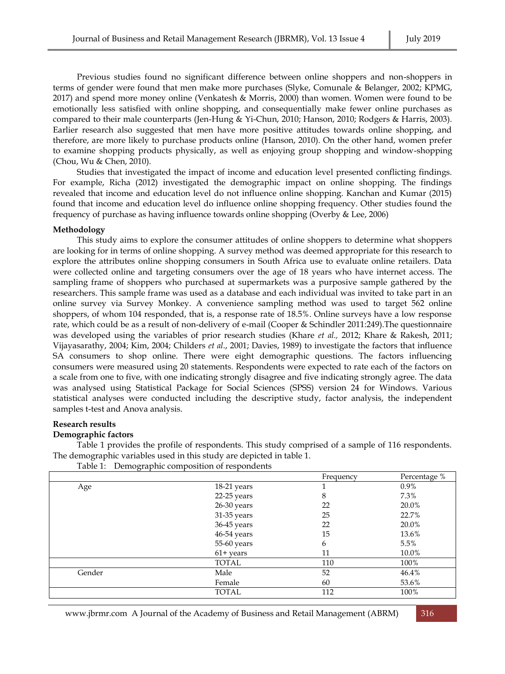Previous studies found no significant difference between online shoppers and non-shoppers in terms of gender were found that men make more purchases (Slyke, Comunale & Belanger, 2002; KPMG, 2017) and spend more money online (Venkatesh & Morris, 2000) than women. Women were found to be emotionally less satisfied with online shopping, and consequentially make fewer online purchases as compared to their male counterparts (Jen-Hung & Yi-Chun, 2010; Hanson, 2010; Rodgers & Harris, 2003). Earlier research also suggested that men have more positive attitudes towards online shopping, and therefore, are more likely to purchase products online (Hanson, 2010). On the other hand, women prefer to examine shopping products physically, as well as enjoying group shopping and window-shopping (Chou, Wu & Chen, 2010).

Studies that investigated the impact of income and education level presented conflicting findings. For example, Richa (2012) investigated the demographic impact on online shopping. The findings revealed that income and education level do not influence online shopping. Kanchan and Kumar (2015) found that income and education level do influence online shopping frequency. Other studies found the frequency of purchase as having influence towards online shopping (Overby & Lee, 2006)

# **Methodology**

This study aims to explore the consumer attitudes of online shoppers to determine what shoppers are looking for in terms of online shopping. A survey method was deemed appropriate for this research to explore the attributes online shopping consumers in South Africa use to evaluate online retailers. Data were collected online and targeting consumers over the age of 18 years who have internet access. The sampling frame of shoppers who purchased at supermarkets was a purposive sample gathered by the researchers. This sample frame was used as a database and each individual was invited to take part in an online survey via Survey Monkey. A convenience sampling method was used to target 562 online shoppers, of whom 104 responded, that is, a response rate of 18.5%. Online surveys have a low response rate, which could be as a result of non-delivery of e-mail (Cooper & Schindler 2011:249).The questionnaire was developed using the variables of prior research studies (Khare *et al.,* 2012; Khare & Rakesh, 2011; Vijayasarathy, 2004; Kim, 2004; Childers *et al*., 2001; Davies, 1989) to investigate the factors that influence SA consumers to shop online. There were eight demographic questions. The factors influencing consumers were measured using 20 statements. Respondents were expected to rate each of the factors on a scale from one to five, with one indicating strongly disagree and five indicating strongly agree. The data was analysed using Statistical Package for Social Sciences (SPSS) version 24 for Windows. Various statistical analyses were conducted including the descriptive study, factor analysis, the independent samples t-test and Anova analysis.

#### **Research results**

#### **Demographic factors**

Table 1 provides the profile of respondents. This study comprised of a sample of 116 respondents. The demographic variables used in this study are depicted in table 1.

Table 1: Demographic composition of respondents

|        |             | Frequency | Percentage % |
|--------|-------------|-----------|--------------|
| Age    | 18-21 years |           | $0.9\%$      |
|        | 22-25 years | 8         | 7.3%         |
|        | 26-30 years | 22        | 20.0%        |
|        | 31-35 years | 25        | 22.7%        |
|        | 36-45 years | 22        | 20.0%        |
|        | 46-54 years | 15        | 13.6%        |
|        | 55-60 years | 6         | 5.5%         |
|        | $61+$ years | 11        | 10.0%        |
|        | TOTAL       | 110       | 100%         |
| Gender | Male        | 52        | 46.4%        |
|        | Female      | 60        | 53.6%        |
|        | TOTAL       | 112       | 100%         |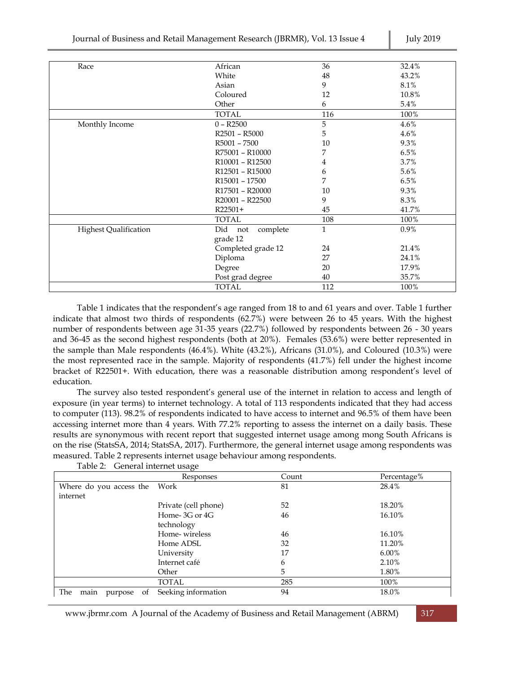| Race                         | African                               | 36           | 32.4% |
|------------------------------|---------------------------------------|--------------|-------|
|                              | White                                 | 48           | 43.2% |
|                              | Asian                                 | 9            | 8.1%  |
|                              | Coloured                              | 12           | 10.8% |
|                              | Other                                 | 6            | 5.4%  |
|                              | <b>TOTAL</b>                          | 116          | 100%  |
| Monthly Income               | $0 - R2500$                           | 5            | 4.6%  |
|                              | R <sub>2501</sub> - R <sub>5000</sub> | 5            | 4.6%  |
|                              | R5001 - 7500                          | 10           | 9.3%  |
|                              | R75001 - R10000                       | 7            | 6.5%  |
|                              | R10001 - R12500                       | 4            | 3.7%  |
|                              | R12501 - R15000                       | 6            | 5.6%  |
|                              | R <sub>15001</sub> - 17500            | 7            | 6.5%  |
|                              | R17501 - R20000                       | 10           | 9.3%  |
|                              | R20001 - R22500                       | 9            | 8.3%  |
|                              | $R22501+$                             | 45           | 41.7% |
|                              | <b>TOTAL</b>                          | 108          | 100%  |
| <b>Highest Qualification</b> | Did<br>complete<br>not                | $\mathbf{1}$ | 0.9%  |
|                              | grade 12                              |              |       |
|                              | Completed grade 12                    | 24           | 21.4% |
|                              | Diploma                               | 27           | 24.1% |
|                              | Degree                                | 20           | 17.9% |
|                              | Post grad degree                      | 40           | 35.7% |
|                              | <b>TOTAL</b>                          | 112          | 100%  |

Table 1 indicates that the respondent's age ranged from 18 to and 61 years and over. Table 1 further indicate that almost two thirds of respondents (62.7%) were between 26 to 45 years. With the highest number of respondents between age 31-35 years (22.7%) followed by respondents between 26 - 30 years and 36-45 as the second highest respondents (both at 20%). Females (53.6%) were better represented in the sample than Male respondents (46.4%). White (43.2%), Africans (31.0%), and Coloured (10.3%) were the most represented race in the sample. Majority of respondents (41.7%) fell under the highest income bracket of R22501+. With education, there was a reasonable distribution among respondent's level of education.

The survey also tested respondent's general use of the internet in relation to access and length of exposure (in year terms) to internet technology. A total of 113 respondents indicated that they had access to computer (113). 98.2% of respondents indicated to have access to internet and 96.5% of them have been accessing internet more than 4 years. With 77.2% reporting to assess the internet on a daily basis. These results are synonymous with recent report that suggested internet usage among mong South Africans is on the rise (StatsSA, 2014; StatsSA, 2017). Furthermore, the general internet usage among respondents was measured. Table 2 represents internet usage behaviour among respondents.

|                              | Responses            | Count | Percentage% |
|------------------------------|----------------------|-------|-------------|
| Where do you access the      | Work                 | 81    | 28.4%       |
| internet                     |                      |       |             |
|                              | Private (cell phone) | 52    | 18.20%      |
|                              | Home-3G or 4G        | 46    | 16.10%      |
|                              | technology           |       |             |
|                              | Home-wireless        | 46    | 16.10%      |
|                              | Home ADSL            | 32    | 11.20%      |
|                              | University           | 17    | $6.00\%$    |
|                              | Internet café        | 6     | 2.10%       |
|                              | Other                | 5.    | 1.80%       |
|                              | <b>TOTAL</b>         | 285   | 100%        |
| The<br>main<br>purpose<br>Οt | Seeking information  | 94    | 18.0%       |

Table 2: General internet usage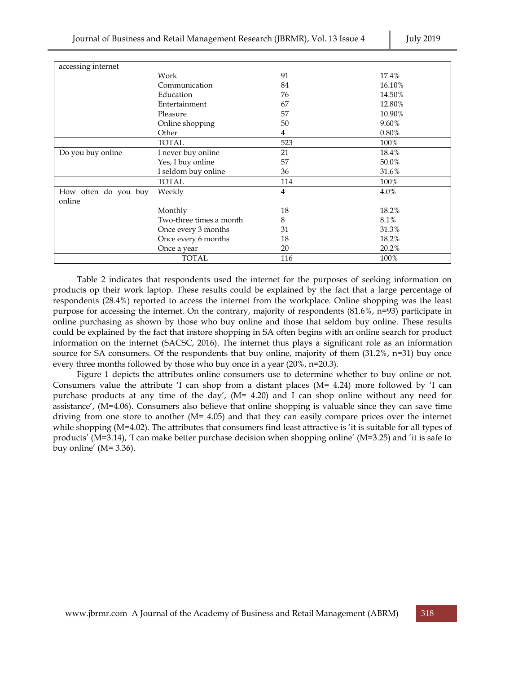| accessing internet   |                         |     |        |
|----------------------|-------------------------|-----|--------|
|                      | Work                    | 91  | 17.4%  |
|                      | Communication           | 84  | 16.10% |
|                      | Education               | 76  | 14.50% |
|                      | Entertainment           | 67  | 12.80% |
|                      | Pleasure                | 57  | 10.90% |
|                      | Online shopping         | 50  | 9.60%  |
|                      | Other                   | 4   | 0.80%  |
|                      | TOTAL                   | 523 | 100%   |
| Do you buy online    | I never buy online      | 21  | 18.4%  |
|                      | Yes, I buy online       | 57  | 50.0%  |
|                      | I seldom buy online     | 36  | 31.6%  |
|                      | <b>TOTAL</b>            | 114 | 100%   |
| How often do you buy | Weekly                  | 4   | 4.0%   |
| online               |                         |     |        |
|                      | Monthly                 | 18  | 18.2%  |
|                      | Two-three times a month | 8   | 8.1%   |
|                      | Once every 3 months     | 31  | 31.3%  |
|                      | Once every 6 months     | 18  | 18.2%  |
|                      | Once a year             | 20  | 20.2%  |
|                      | <b>TOTAL</b>            | 116 | 100%   |

Table 2 indicates that respondents used the internet for the purposes of seeking information on products op their work laptop. These results could be explained by the fact that a large percentage of respondents (28.4%) reported to access the internet from the workplace. Online shopping was the least purpose for accessing the internet. On the contrary, majority of respondents (81.6%, n=93) participate in online purchasing as shown by those who buy online and those that seldom buy online. These results could be explained by the fact that instore shopping in SA often begins with an online search for product information on the internet (SACSC, 2016). The internet thus plays a significant role as an information source for SA consumers. Of the respondents that buy online, majority of them  $(31.2\%$ , n=31) buy once every three months followed by those who buy once in a year (20%, n=20.3).

Figure 1 depicts the attributes online consumers use to determine whether to buy online or not. Consumers value the attribute 'I can shop from a distant places  $(M= 4.24)$  more followed by 'I can purchase products at any time of the day', (M= 4.20) and I can shop online without any need for assistance', (M=4.06). Consumers also believe that online shopping is valuable since they can save time driving from one store to another  $(M= 4.05)$  and that they can easily compare prices over the internet while shopping (M=4.02). The attributes that consumers find least attractive is 'it is suitable for all types of products' (M=3.14), 'I can make better purchase decision when shopping online' (M=3.25) and 'it is safe to buy online' ( $M=3.36$ ).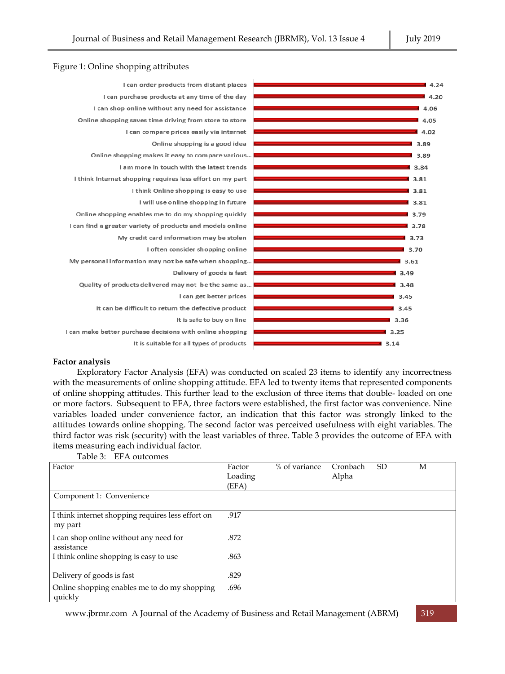

# **Factor analysis**

Exploratory Factor Analysis (EFA) was conducted on scaled 23 items to identify any incorrectness with the measurements of online shopping attitude. EFA led to twenty items that represented components of online shopping attitudes. This further lead to the exclusion of three items that double- loaded on one or more factors. Subsequent to EFA, three factors were established, the first factor was convenience. Nine variables loaded under convenience factor, an indication that this factor was strongly linked to the attitudes towards online shopping. The second factor was perceived usefulness with eight variables. The third factor was risk (security) with the least variables of three. Table 3 provides the outcome of EFA with items measuring each individual factor.

| Factor                                                       | Factor<br>Loading<br>(EFA) | % of variance | Cronbach<br>Alpha | <b>SD</b> | M |
|--------------------------------------------------------------|----------------------------|---------------|-------------------|-----------|---|
| Component 1: Convenience                                     |                            |               |                   |           |   |
| I think internet shopping requires less effort on<br>my part | .917                       |               |                   |           |   |
| I can shop online without any need for<br>assistance         | .872                       |               |                   |           |   |
| I think online shopping is easy to use                       | .863                       |               |                   |           |   |
| Delivery of goods is fast                                    | .829                       |               |                   |           |   |
| Online shopping enables me to do my shopping<br>quickly      | .696                       |               |                   |           |   |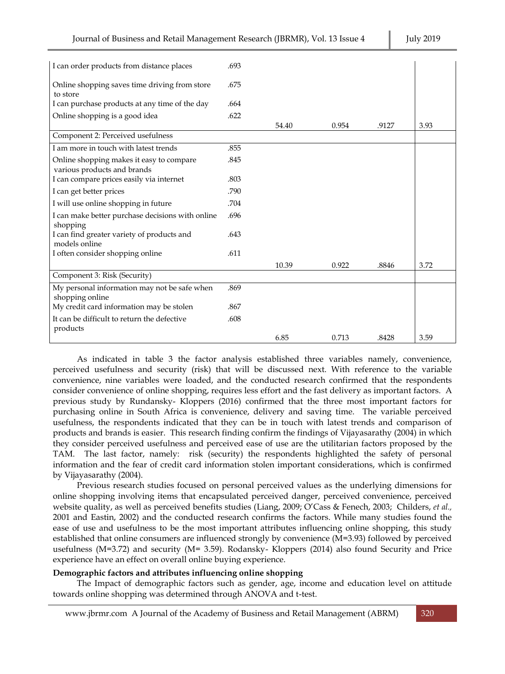| I can order products from distance places        | .693 |       |       |       |      |
|--------------------------------------------------|------|-------|-------|-------|------|
|                                                  |      |       |       |       |      |
| Online shopping saves time driving from store    | .675 |       |       |       |      |
| to store                                         |      |       |       |       |      |
| I can purchase products at any time of the day   | .664 |       |       |       |      |
| Online shopping is a good idea                   | .622 |       |       |       |      |
|                                                  |      | 54.40 | 0.954 | .9127 | 3.93 |
| Component 2: Perceived usefulness                |      |       |       |       |      |
| I am more in touch with latest trends            | .855 |       |       |       |      |
| Online shopping makes it easy to compare         | .845 |       |       |       |      |
| various products and brands                      |      |       |       |       |      |
| I can compare prices easily via internet         | .803 |       |       |       |      |
| I can get better prices                          | .790 |       |       |       |      |
| I will use online shopping in future             | .704 |       |       |       |      |
| I can make better purchase decisions with online | .696 |       |       |       |      |
| shopping                                         |      |       |       |       |      |
| I can find greater variety of products and       | .643 |       |       |       |      |
| models online                                    |      |       |       |       |      |
| I often consider shopping online                 | .611 |       |       |       |      |
|                                                  |      | 10.39 | 0.922 | .8846 | 3.72 |
| Component 3: Risk (Security)                     |      |       |       |       |      |
| My personal information may not be safe when     | .869 |       |       |       |      |
| shopping online                                  |      |       |       |       |      |
| My credit card information may be stolen         | .867 |       |       |       |      |
| It can be difficult to return the defective      | .608 |       |       |       |      |
| products                                         |      |       |       |       |      |
|                                                  |      | 6.85  | 0.713 | .8428 | 3.59 |

As indicated in table 3 the factor analysis established three variables namely, convenience, perceived usefulness and security (risk) that will be discussed next. With reference to the variable convenience, nine variables were loaded, and the conducted research confirmed that the respondents consider convenience of online shopping, requires less effort and the fast delivery as important factors. A previous study by Rundansky- Kloppers (2016) confirmed that the three most important factors for purchasing online in South Africa is convenience, delivery and saving time. The variable perceived usefulness, the respondents indicated that they can be in touch with latest trends and comparison of products and brands is easier. This research finding confirm the findings of Vijayasarathy (2004) in which they consider perceived usefulness and perceived ease of use are the utilitarian factors proposed by the TAM. The last factor, namely: risk (security) the respondents highlighted the safety of personal information and the fear of credit card information stolen important considerations, which is confirmed by Vijayasarathy (2004).

Previous research studies focused on personal perceived values as the underlying dimensions for online shopping involving items that encapsulated perceived danger, perceived convenience, perceived website quality, as well as perceived benefits studies (Liang, 2009; O'Cass & Fenech, 2003; Childers, *et al.,*  2001 and Eastin, 2002) and the conducted research confirms the factors. While many studies found the ease of use and usefulness to be the most important attributes influencing online shopping, this study established that online consumers are influenced strongly by convenience (M=3.93) followed by perceived usefulness (M=3.72) and security (M= 3.59). Rodansky- Kloppers (2014) also found Security and Price experience have an effect on overall online buying experience.

# **Demographic factors and attributes influencing online shopping**

The Impact of demographic factors such as gender, age, income and education level on attitude towards online shopping was determined through ANOVA and t-test.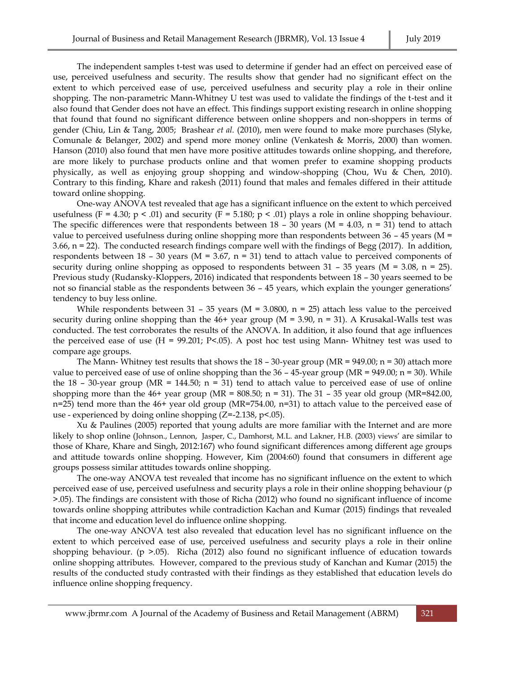The independent samples t-test was used to determine if gender had an effect on perceived ease of use, perceived usefulness and security. The results show that gender had no significant effect on the extent to which perceived ease of use, perceived usefulness and security play a role in their online shopping. The non-parametric Mann-Whitney U test was used to validate the findings of the t-test and it also found that Gender does not have an effect. This findings support existing research in online shopping that found that found no significant difference between online shoppers and non-shoppers in terms of gender (Chiu, Lin & Tang, 2005; Brashear *et al.* (2010), men were found to make more purchases (Slyke, Comunale & Belanger, 2002) and spend more money online (Venkatesh & Morris, 2000) than women. Hanson (2010) also found that men have more positive attitudes towards online shopping, and therefore, are more likely to purchase products online and that women prefer to examine shopping products physically, as well as enjoying group shopping and window-shopping (Chou, Wu & Chen, 2010). Contrary to this finding, Khare and rakesh (2011) found that males and females differed in their attitude toward online shopping.

One-way ANOVA test revealed that age has a significant influence on the extent to which perceived usefulness (F = 4.30; p < .01) and security (F = 5.180; p < .01) plays a role in online shopping behaviour. The specific differences were that respondents between  $18 - 30$  years (M = 4.03, n = 31) tend to attach value to perceived usefulness during online shopping more than respondents between  $36 - 45$  years (M = 3.66, n = 22). The conducted research findings compare well with the findings of Begg (2017). In addition, respondents between  $18 - 30$  years (M = 3.67, n = 31) tend to attach value to perceived components of security during online shopping as opposed to respondents between  $31 - 35$  years (M = 3.08, n = 25). Previous study (Rudansky-Kloppers, 2016) indicated that respondents between 18 – 30 years seemed to be not so financial stable as the respondents between 36 – 45 years, which explain the younger generations' tendency to buy less online.

While respondents between 31 – 35 years ( $M = 3.0800$ , n = 25) attach less value to the perceived security during online shopping than the  $46+$  year group (M = 3.90, n = 31). A Krusakal-Walls test was conducted. The test corroborates the results of the ANOVA. In addition, it also found that age influences the perceived ease of use  $(H = 99.201; P < .05)$ . A post hoc test using Mann-Whitney test was used to compare age groups.

The Mann- Whitney test results that shows the  $18 - 30$ -year group (MR = 949.00; n = 30) attach more value to perceived ease of use of online shopping than the  $36 - 45$ -year group (MR = 949.00; n = 30). While the 18 – 30-year group (MR = 144.50;  $n = 31$ ) tend to attach value to perceived ease of use of online shopping more than the  $46+$  year group (MR = 808.50; n = 31). The  $31 - 35$  year old group (MR=842.00, n=25) tend more than the 46+ year old group (MR=754.00, n=31) to attach value to the perceived ease of use - experienced by doing online shopping (Z=-2.138, p<.05).

Xu & Paulines (2005) reported that young adults are more familiar with the Internet and are more likely to shop online (Johnson., Lennon, Jasper, C., Damhorst, M.L. and Lakner, H.B. (2003) views' are similar to those of Khare, Khare and Singh, 2012:167) who found significant differences among different age groups and attitude towards online shopping. However, Kim (2004:60) found that consumers in different age groups possess similar attitudes towards online shopping.

The one-way ANOVA test revealed that income has no significant influence on the extent to which perceived ease of use, perceived usefulness and security plays a role in their online shopping behaviour (p >.05). The findings are consistent with those of Richa (2012) who found no significant influence of income towards online shopping attributes while contradiction Kachan and Kumar (2015) findings that revealed that income and education level do influence online shopping.

The one-way ANOVA test also revealed that education level has no significant influence on the extent to which perceived ease of use, perceived usefulness and security plays a role in their online shopping behaviour. (p >.05). Richa (2012) also found no significant influence of education towards online shopping attributes. However, compared to the previous study of Kanchan and Kumar (2015) the results of the conducted study contrasted with their findings as they established that education levels do influence online shopping frequency.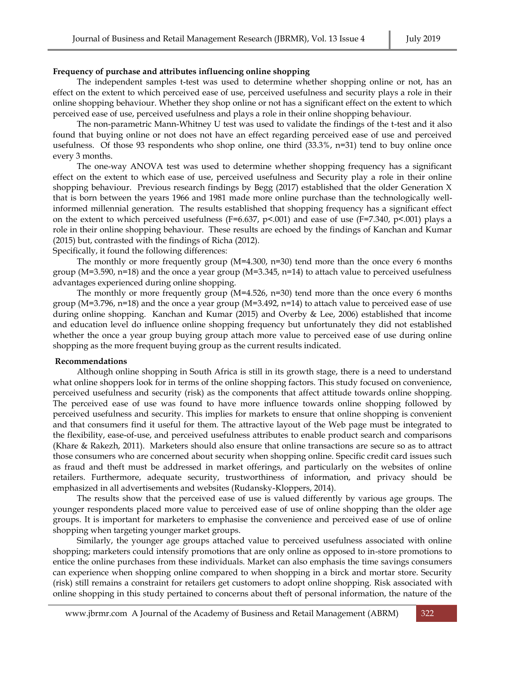# **Frequency of purchase and attributes influencing online shopping**

The independent samples t-test was used to determine whether shopping online or not, has an effect on the extent to which perceived ease of use, perceived usefulness and security plays a role in their online shopping behaviour. Whether they shop online or not has a significant effect on the extent to which perceived ease of use, perceived usefulness and plays a role in their online shopping behaviour.

The non-parametric Mann-Whitney U test was used to validate the findings of the t-test and it also found that buying online or not does not have an effect regarding perceived ease of use and perceived usefulness. Of those 93 respondents who shop online, one third (33.3%, n=31) tend to buy online once every 3 months.

The one-way ANOVA test was used to determine whether shopping frequency has a significant effect on the extent to which ease of use, perceived usefulness and Security play a role in their online shopping behaviour. Previous research findings by Begg (2017) established that the older Generation X that is born between the years 1966 and 1981 made more online purchase than the technologically wellinformed millennial generation. The results established that shopping frequency has a significant effect on the extent to which perceived usefulness (F=6.637, p<.001) and ease of use (F=7.340, p<.001) plays a role in their online shopping behaviour. These results are echoed by the findings of Kanchan and Kumar (2015) but, contrasted with the findings of Richa (2012).

Specifically, it found the following differences:

The monthly or more frequently group  $(M=4.300, n=30)$  tend more than the once every 6 months group (M=3.590, n=18) and the once a year group (M=3.345, n=14) to attach value to perceived usefulness advantages experienced during online shopping.

The monthly or more frequently group  $(M=4.526, n=30)$  tend more than the once every 6 months group (M=3.796, n=18) and the once a year group (M=3.492, n=14) to attach value to perceived ease of use during online shopping. Kanchan and Kumar (2015) and Overby & Lee, 2006) established that income and education level do influence online shopping frequency but unfortunately they did not established whether the once a year group buying group attach more value to perceived ease of use during online shopping as the more frequent buying group as the current results indicated.

#### **Recommendations**

Although online shopping in South Africa is still in its growth stage, there is a need to understand what online shoppers look for in terms of the online shopping factors. This study focused on convenience, perceived usefulness and security (risk) as the components that affect attitude towards online shopping. The perceived ease of use was found to have more influence towards online shopping followed by perceived usefulness and security. This implies for markets to ensure that online shopping is convenient and that consumers find it useful for them. The attractive layout of the Web page must be integrated to the flexibility, ease-of-use, and perceived usefulness attributes to enable product search and comparisons (Khare & Rakezh, 2011). Marketers should also ensure that online transactions are secure so as to attract those consumers who are concerned about security when shopping online. Specific credit card issues such as fraud and theft must be addressed in market offerings, and particularly on the websites of online retailers. Furthermore, adequate security, trustworthiness of information, and privacy should be emphasized in all advertisements and websites (Rudansky-Kloppers, 2014).

The results show that the perceived ease of use is valued differently by various age groups. The younger respondents placed more value to perceived ease of use of online shopping than the older age groups. It is important for marketers to emphasise the convenience and perceived ease of use of online shopping when targeting younger market groups.

Similarly, the younger age groups attached value to perceived usefulness associated with online shopping; marketers could intensify promotions that are only online as opposed to in-store promotions to entice the online purchases from these individuals. Market can also emphasis the time savings consumers can experience when shopping online compared to when shopping in a birck and mortar store. Security (risk) still remains a constraint for retailers get customers to adopt online shopping. Risk associated with online shopping in this study pertained to concerns about theft of personal information, the nature of the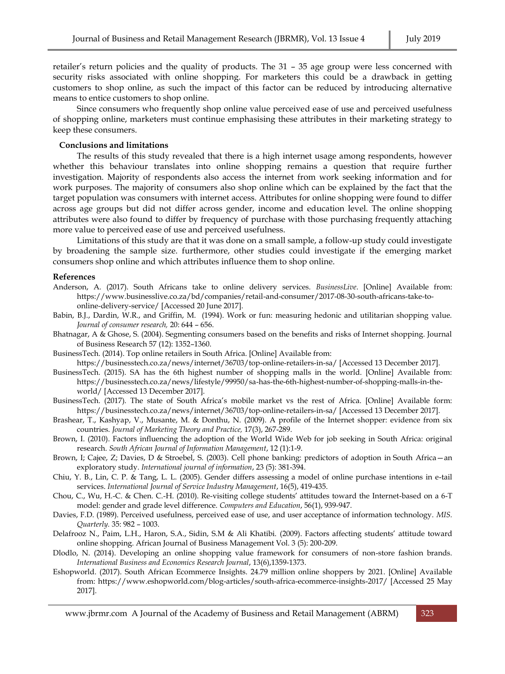retailer's return policies and the quality of products. The 31 – 35 age group were less concerned with security risks associated with online shopping. For marketers this could be a drawback in getting customers to shop online, as such the impact of this factor can be reduced by introducing alternative means to entice customers to shop online.

Since consumers who frequently shop online value perceived ease of use and perceived usefulness of shopping online, marketers must continue emphasising these attributes in their marketing strategy to keep these consumers.

#### **Conclusions and limitations**

The results of this study revealed that there is a high internet usage among respondents, however whether this behaviour translates into online shopping remains a question that require further investigation. Majority of respondents also access the internet from work seeking information and for work purposes. The majority of consumers also shop online which can be explained by the fact that the target population was consumers with internet access. Attributes for online shopping were found to differ across age groups but did not differ across gender, income and education level. The online shopping attributes were also found to differ by frequency of purchase with those purchasing frequently attaching more value to perceived ease of use and perceived usefulness.

Limitations of this study are that it was done on a small sample, a follow-up study could investigate by broadening the sample size. furthermore, other studies could investigate if the emerging market consumers shop online and which attributes influence them to shop online.

# **References**

- Anderson, A. (2017). South Africans take to online delivery services. *BusinessLive*. [Online] Available from: https://www.businesslive.co.za/bd/companies/retail-and-consumer/2017-08-30-south-africans-take-toonline-delivery-service/ [Accessed 20 June 2017].
- Babin, B.J., Dardin, W.R., and Griffin, M. (1994). Work or fun: measuring hedonic and utilitarian shopping value. *Journal of consumer research,* 20: 644 – 656.
- Bhatnagar, A & Ghose, S. (2004). Segmenting consumers based on the benefits and risks of Internet shopping. Journal of Business Research 57 (12): 1352–1360.
- BusinessTech. (2014). Top online retailers in South Africa. [Online] Available from: https://businesstech.co.za/news/internet/36703/top-online-retailers-in-sa/ [Accessed 13 December 2017].
- BusinessTech. (2015). SA has the 6th highest number of shopping malls in the world. [Online] Available from: https://businesstech.co.za/news/lifestyle/99950/sa-has-the-6th-highest-number-of-shopping-malls-in-theworld/ [Accessed 13 December 2017].
- BusinessTech. (2017). The state of South Africa's mobile market vs the rest of Africa. [Online] Available form: https://businesstech.co.za/news/internet/36703/top-online-retailers-in-sa/ [Accessed 13 December 2017].
- Brashear, T., Kashyap, V., Musante, M. & Donthu, N. (2009). A profile of the Internet shopper: evidence from six countries. *Journal of Marketing Theory and Practice,* 17(3), 267-289.
- Brown, I. (2010). Factors influencing the adoption of the World Wide Web for job seeking in South Africa: original research. *[South African Journal of Information Management](https://journals.co.za/content/journal/info)*, [12 \(1\)](https://journals.co.za/content/info/12/1):1-9.
- [Brown,](https://scholar.google.co.za/citations?user=7mLFCGUAAAAJ&hl=en&oi=sra) I; Cajee, Z; Davies, D & Stroebel, S. (2003). [Cell phone banking: predictors of adoption in](https://www.sciencedirect.com/science/article/pii/S0268401203000653) South Africa—an [exploratory study.](https://www.sciencedirect.com/science/article/pii/S0268401203000653) *International journal of information*[, 23 \(5\)](https://www.sciencedirect.com/science/journal/02684012/23/5): 381-394.
- Chiu, Y. B., Lin, C. P. & Tang, L. L. (2005). Gender differs assessing a model of online purchase intentions in e-tail services. *International Journal of Service Industry Management*, 16(5), 419-435.
- Chou, C., Wu, H.-C. & Chen. C.-H. (2010). Re-visiting college students' attitudes toward the Internet-based on a 6-T model: gender and grade level difference. *Computers and Education*, 56(1), 939-947.
- Davies, F.D. (1989). Perceived usefulness, perceived ease of use, and user acceptance of information technology. *MIS. Quarterly.* 35: 982 – 1003.

Delafrooz N., Paim, L.H., Haron, S.A., Sidin, S.M & Ali Khatibi. (2009). Factors affecting students' attitude toward online shopping. African Journal of Business Management Vol. 3 (5): 200-209.

- Dlodlo, N. (2014). Developing an online shopping value framework for consumers of non-store fashion brands[.](https://www.econbiz.de/Record/international-business-and-economics-research-journal/10002021706)  *[International Business and Economics Research Journal](https://www.econbiz.de/Record/international-business-and-economics-research-journal/10002021706)*, 13(6),1359-1373.
- Eshopworld. (2017). South African Ecommerce Insights. 24.79 million online shoppers by 2021. [Online] Available from: https://www.eshopworld.com/blog-articles/south-africa-ecommerce-insights-2017/ [Accessed 25 May 2017].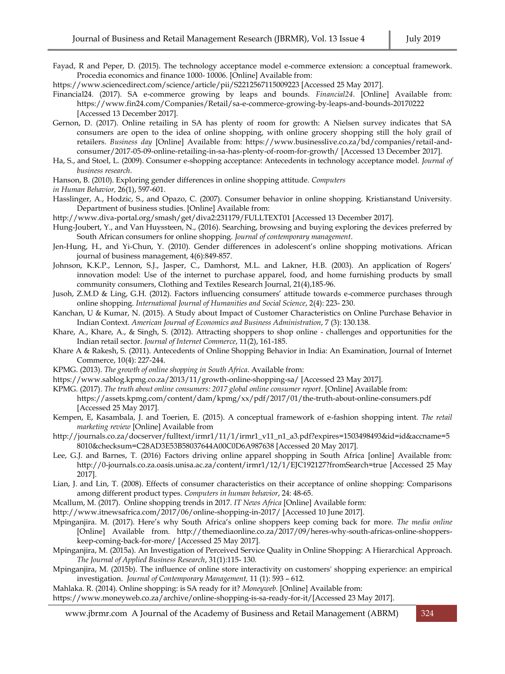Fayad, R and Peper, D. (2015). The technology acceptance model e-commerce extension: a conceptual framework. Procedia economics and finance 1000- 10006. [Online] Available from:

https://www.sciencedirect.com/science/article/pii/S2212567115009223 [Accessed 25 May 2017].

- Financial24. (2017). SA e-commerce growing by leaps and bounds. *Financial24*. [Online] Available from: https://www.fin24.com/Companies/Retail/sa-e-commerce-growing-by-leaps-and-bounds-20170222 [Accessed 13 December 2017].
- Gernon, D. (2017). Online retailing in SA has plenty of room for growth: A Nielsen survey indicates that SA consumers are open to the idea of online shopping, with online grocery shopping still the holy grail of retailers. *Business day* [Online] Available from: https://www.businesslive.co.za/bd/companies/retail-andconsumer/2017-05-09-online-retailing-in-sa-has-plenty-of-room-for-growth/ [Accessed 13 December 2017].
- Ha, S., and Stoel, L. (2009). Consumer e-shopping acceptance: Antecedents in technology acceptance model. *Journal of business research*.
- Hanson, B. (2010). Exploring gender differences in online shopping attitude. *Computers*

*in Human Behavior,* 26(1), 597-601.

- Hasslinger, A., Hodzic, S., and Opazo, C. (2007). Consumer behavior in online shopping. Kristianstand University. Department of business studies. [Online] Available from:
- http://www.diva-portal.org/smash/get/diva2:231179/FULLTEXT01 [Accessed 13 December 2017].
- Hung-Joubert, Y., and Van Huyssteen, N., (2016). Searching, browsing and buying exploring the devices preferred by South African consumers for online shopping. *Journal of contemporary management*.
- Jen-Hung, H., and Yi-Chun, Y. (2010). Gender differences in adolescent's online shopping motivations. African journal of business management, 4(6):849-857.
- Johnson, K.K.P., Lennon, S.J., Jasper, C., Damhorst, M.L. and Lakner, H.B. (2003). An application of Rogers' innovation model: Use of the internet to purchase apparel, food, and home furnishing products by small community consumers, Clothing and Textiles Research Journal, 21(4),185-96.
- Jusoh, Z.M.D & Ling, G.H. (2012). Factors influencing consumers' attitude towards e-commerce purchases through online shopping. *International Journal of Humanities and Social Science*, 2(4): 223- 230.
- Kanchan, U & Kumar, N. (2015). A Study about Impact of Customer Characteristics on Online Purchase Behavior in Indian Context. *American Journal of Economics and Business Administration*, 7 (3): 130.138.
- Khare, A., Khare, A., & Singh, S. (2012). Attracting shoppers to shop online challenges and opportunities for the Indian retail sector. *Journal of Internet Commerce*, 11(2), 161-185.
- Khare A & Rakesh, S. (2011). Antecedents of Online Shopping Behavior in India: An Examination, Journal of Internet Commerce, 10(4): 227-244.
- KPMG. (2013). *The growth of online shopping in South Africa*. Available from:
- <https://www.sablog.kpmg.co.za/2013/11/growth-online-shopping-sa/> [Accessed 23 May 2017].
- KPMG. (2017). *The truth about online consumers: 2017 global online consumer report*. [Online] Available from: https://assets.kpmg.com/content/dam/kpmg/xx/pdf/2017/01/the-truth-about-online-consumers.pdf [Accessed 25 May 2017].
- Kempen, E, Kasambala, J. and Toerien, E. (2015). A conceptual framework of e-fashion shopping intent. *The retail marketing review* [Online] Available from
- [http://journals.co.za/docserver/fulltext/irmr1/11/1/irmr1\\_v11\\_n1\\_a3.pdf?expires=1503498493&id=id&accname=5](http://journals.co.za/docserver/fulltext/irmr1/11/1/irmr1_v11_n1_a3.pdf?expires=1503498493&id=id&accname=58010&checksum=C28AD3E53B58037644A00C0D6A987638%20%5bAccessed) [8010&checksum=C28AD3E53B58037644A00C0D6A987638 \[Accessed](http://journals.co.za/docserver/fulltext/irmr1/11/1/irmr1_v11_n1_a3.pdf?expires=1503498493&id=id&accname=58010&checksum=C28AD3E53B58037644A00C0D6A987638%20%5bAccessed) 20 May 2017].
- Lee, G.J. and Barnes, T. (2016) Factors driving online apparel shopping in South Africa [online] Available from: http://0-journals.co.za.oasis.unisa.ac.za/content/irmr1/12/1/EJC192127?fromSearch=true [Accessed 25 May 2017].
- Lian, J. and Lin, T. (2008). Effects of consumer characteristics on their acceptance of online shopping: Comparisons among different product types. *Computers in human behavior*, 24: 48-65.
- Mcallum, M. (2017). Online shopping trends in 2017. *IT News Africa* [Online] Available form:
- http://www.itnewsafrica.com/2017/06/online-shopping-in-2017/ [Accessed 10 June 2017].
- Mpinganjira. M. (2017). Here's why South Africa's online shoppers keep coming back for more. *The media online* [Online] Available from. http://themediaonline.co.za/2017/09/heres-why-south-africas-online-shopperskeep-coming-back-for-more/ [Accessed 25 May 2017].
- Mpinganjira, M. (2015a). An Investigation of Perceived Service Quality in Online Shopping: A Hierarchical Approach. *The Journal of Applied Business Research*, 31(1):115- 130.
- Mpinganjira, M. (2015b). The influence of online store interactivity on customers' shopping experience: an empirical investigation. *[Journal of Contemporary Management,](https://journals.co.za/content/journal/jcman)* [11 \(1\)](https://journals.co.za/content/jcman/11/1): 593 – 612.
- Mahlaka. R. (2014). Online shopping: is SA ready for it? *Moneyweb.* [Online] Available from:
- [https://www.moneyweb.co.za/archive/online-shopping-is-sa-ready-for-it/\[Accessed](https://www.moneyweb.co.za/archive/online-shopping-is-sa-ready-for-it/%5bAccessed) 23 May 2017].